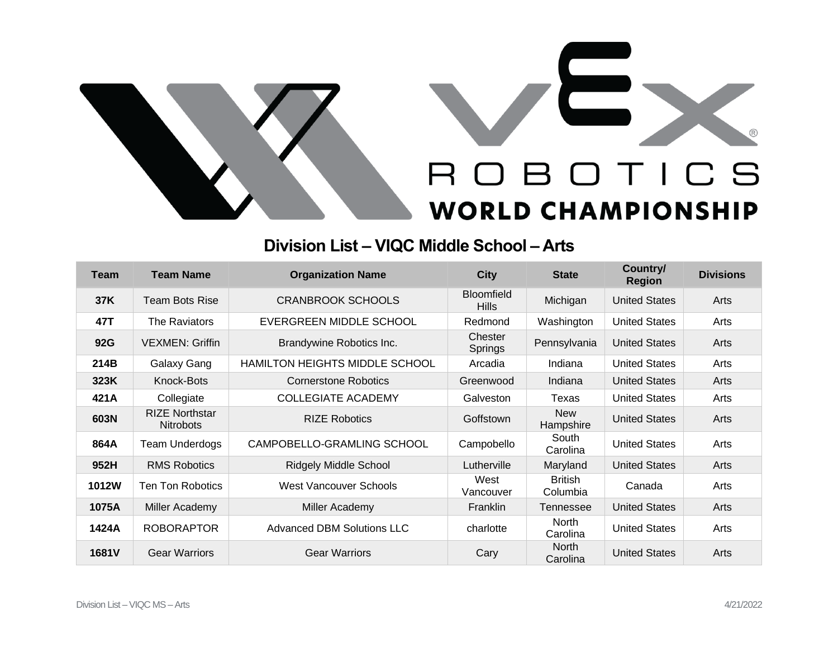



## **Division List – VIQC Middle School – Arts**

| Team  | <b>Team Name</b>                          | <b>Organization Name</b>          | <b>City</b>                       | <b>State</b>               | Country/<br><b>Region</b> | <b>Divisions</b> |
|-------|-------------------------------------------|-----------------------------------|-----------------------------------|----------------------------|---------------------------|------------------|
| 37K   | <b>Team Bots Rise</b>                     | <b>CRANBROOK SCHOOLS</b>          | <b>Bloomfield</b><br><b>Hills</b> | Michigan                   | <b>United States</b>      | Arts             |
| 47T   | The Raviators                             | EVERGREEN MIDDLE SCHOOL           | Redmond                           | Washington                 | <b>United States</b>      | Arts             |
| 92G   | <b>VEXMEN: Griffin</b>                    | Brandywine Robotics Inc.          | Chester<br>Springs                | Pennsylvania               | <b>United States</b>      | Arts             |
| 214B  | Galaxy Gang                               | HAMILTON HEIGHTS MIDDLE SCHOOL    | Arcadia                           | Indiana                    | <b>United States</b>      | Arts             |
| 323K  | Knock-Bots                                | <b>Cornerstone Robotics</b>       | Greenwood                         | Indiana                    | <b>United States</b>      | Arts             |
| 421A  | Collegiate                                | <b>COLLEGIATE ACADEMY</b>         | Galveston                         | Texas                      | <b>United States</b>      | Arts             |
| 603N  | <b>RIZE Northstar</b><br><b>Nitrobots</b> | <b>RIZE Robotics</b>              | Goffstown                         | <b>New</b><br>Hampshire    | <b>United States</b>      | Arts             |
| 864A  | <b>Team Underdogs</b>                     | CAMPOBELLO-GRAMLING SCHOOL        | Campobello                        | South<br>Carolina          | <b>United States</b>      | Arts             |
| 952H  | <b>RMS Robotics</b>                       | <b>Ridgely Middle School</b>      | Lutherville                       | Maryland                   | <b>United States</b>      | Arts             |
| 1012W | Ten Ton Robotics                          | <b>West Vancouver Schools</b>     | West<br>Vancouver                 | <b>British</b><br>Columbia | Canada                    | Arts             |
| 1075A | Miller Academy                            | Miller Academy                    | <b>Franklin</b>                   | Tennessee                  | <b>United States</b>      | Arts             |
| 1424A | <b>ROBORAPTOR</b>                         | <b>Advanced DBM Solutions LLC</b> | charlotte                         | <b>North</b><br>Carolina   | <b>United States</b>      | Arts             |
| 1681V | <b>Gear Warriors</b>                      | <b>Gear Warriors</b>              | Cary                              | <b>North</b><br>Carolina   | <b>United States</b>      | Arts             |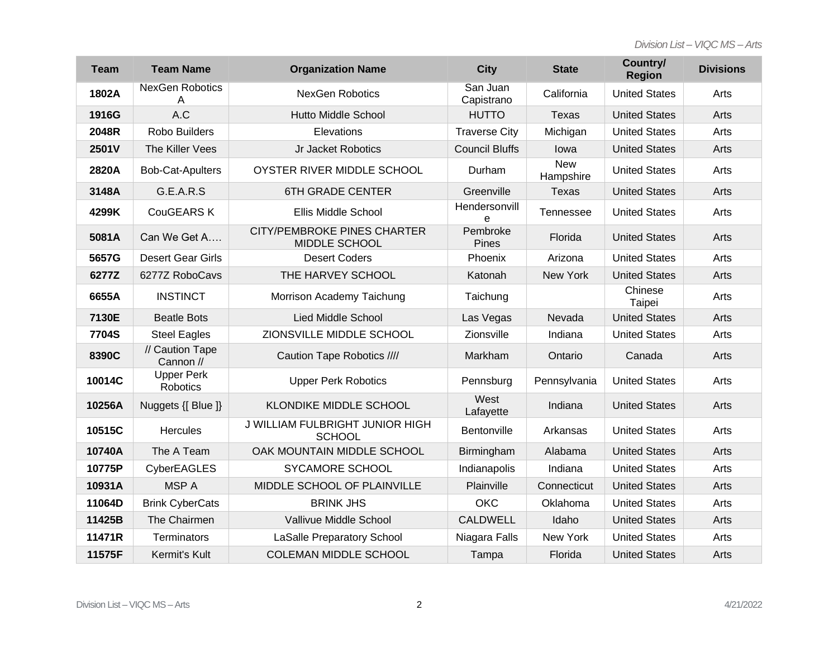*Division List – VIQC MS – Arts*

| <b>Team</b>  | <b>Team Name</b>              | <b>Organization Name</b>                            | <b>City</b>              | <b>State</b>            | Country/<br><b>Region</b> | <b>Divisions</b> |
|--------------|-------------------------------|-----------------------------------------------------|--------------------------|-------------------------|---------------------------|------------------|
| 1802A        | <b>NexGen Robotics</b><br>A   | <b>NexGen Robotics</b>                              | San Juan<br>Capistrano   | California              | <b>United States</b>      | Arts             |
| 1916G        | A.C                           | <b>Hutto Middle School</b>                          | <b>HUTTO</b>             | <b>Texas</b>            | <b>United States</b>      | Arts             |
| 2048R        | <b>Robo Builders</b>          | Elevations                                          | <b>Traverse City</b>     | Michigan                | <b>United States</b>      | Arts             |
| 2501V        | The Killer Vees               | Jr Jacket Robotics                                  | <b>Council Bluffs</b>    | lowa                    | <b>United States</b>      | Arts             |
| 2820A        | <b>Bob-Cat-Apulters</b>       | OYSTER RIVER MIDDLE SCHOOL                          | Durham                   | <b>New</b><br>Hampshire | <b>United States</b>      | Arts             |
| 3148A        | G.E.A.R.S                     | <b>6TH GRADE CENTER</b>                             | Greenville               | <b>Texas</b>            | <b>United States</b>      | Arts             |
| 4299K        | <b>CouGEARS K</b>             | <b>Ellis Middle School</b>                          | Hendersonvill<br>e       | Tennessee               | <b>United States</b>      | Arts             |
| 5081A        | Can We Get A                  | <b>CITY/PEMBROKE PINES CHARTER</b><br>MIDDLE SCHOOL | Pembroke<br><b>Pines</b> | Florida                 | <b>United States</b>      | Arts             |
| 5657G        | <b>Desert Gear Girls</b>      | <b>Desert Coders</b>                                | Phoenix                  | Arizona                 | <b>United States</b>      | Arts             |
| 6277Z        | 6277Z RoboCavs                | THE HARVEY SCHOOL                                   | Katonah                  | New York                | <b>United States</b>      | Arts             |
| 6655A        | <b>INSTINCT</b>               | Morrison Academy Taichung                           | Taichung                 |                         | Chinese<br>Taipei         | Arts             |
| 7130E        | <b>Beatle Bots</b>            | <b>Lied Middle School</b>                           | Las Vegas                | Nevada                  | <b>United States</b>      | Arts             |
| <b>7704S</b> | <b>Steel Eagles</b>           | ZIONSVILLE MIDDLE SCHOOL                            | Zionsville               | Indiana                 | <b>United States</b>      | Arts             |
| 8390C        | // Caution Tape<br>Cannon //  | Caution Tape Robotics ////                          | Markham                  | Ontario                 | Canada                    | Arts             |
| 10014C       | <b>Upper Perk</b><br>Robotics | <b>Upper Perk Robotics</b>                          | Pennsburg                | Pennsylvania            | <b>United States</b>      | Arts             |
| 10256A       | Nuggets {[ Blue ]}            | <b>KLONDIKE MIDDLE SCHOOL</b>                       | West<br>Lafayette        | Indiana                 | <b>United States</b>      | Arts             |
| 10515C       | <b>Hercules</b>               | J WILLIAM FULBRIGHT JUNIOR HIGH<br><b>SCHOOL</b>    | Bentonville              | Arkansas                | <b>United States</b>      | Arts             |
| 10740A       | The A Team                    | OAK MOUNTAIN MIDDLE SCHOOL                          | Birmingham               | Alabama                 | <b>United States</b>      | Arts             |
| 10775P       | CyberEAGLES                   | SYCAMORE SCHOOL                                     | Indianapolis             | Indiana                 | <b>United States</b>      | Arts             |
| 10931A       | <b>MSPA</b>                   | MIDDLE SCHOOL OF PLAINVILLE                         | Plainville               | Connecticut             | <b>United States</b>      | Arts             |
| 11064D       | <b>Brink CyberCats</b>        | <b>BRINK JHS</b>                                    | <b>OKC</b>               | Oklahoma                | <b>United States</b>      | Arts             |
| 11425B       | The Chairmen                  | Vallivue Middle School                              | <b>CALDWELL</b>          | Idaho                   | <b>United States</b>      | Arts             |
| 11471R       | Terminators                   | <b>LaSalle Preparatory School</b>                   | Niagara Falls            | New York                | <b>United States</b>      | Arts             |
| 11575F       | Kermit's Kult                 | <b>COLEMAN MIDDLE SCHOOL</b>                        | Tampa                    | Florida                 | <b>United States</b>      | Arts             |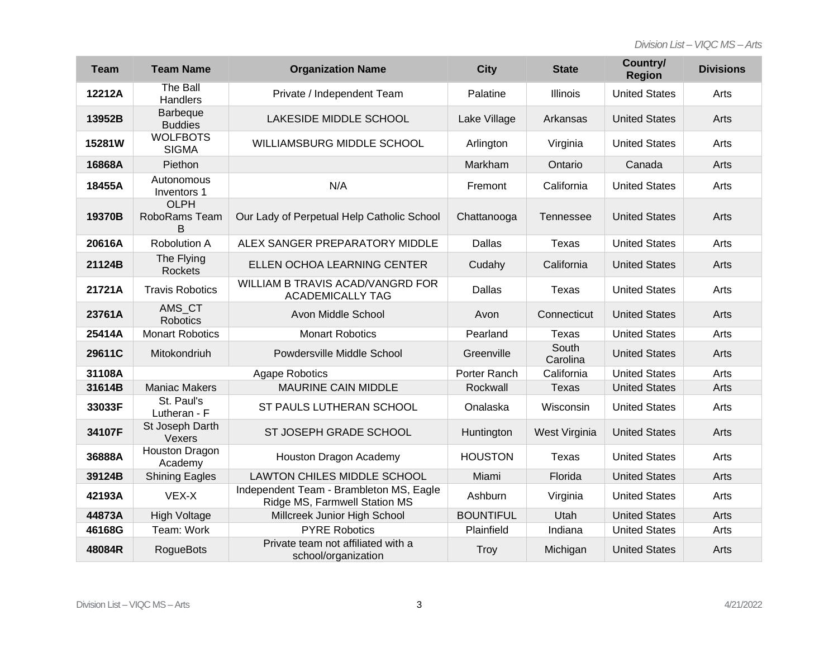| <b>Team</b> | <b>Team Name</b>                  | <b>Organization Name</b>                                                 | <b>City</b>      | <b>State</b>      | Country/<br><b>Region</b> | <b>Divisions</b> |
|-------------|-----------------------------------|--------------------------------------------------------------------------|------------------|-------------------|---------------------------|------------------|
| 12212A      | The Ball<br>Handlers              | Private / Independent Team                                               | Palatine         | Illinois          | <b>United States</b>      | Arts             |
| 13952B      | Barbeque<br><b>Buddies</b>        | LAKESIDE MIDDLE SCHOOL                                                   | Lake Village     | Arkansas          | <b>United States</b>      | Arts             |
| 15281W      | <b>WOLFBOTS</b><br><b>SIGMA</b>   | WILLIAMSBURG MIDDLE SCHOOL                                               | Arlington        | Virginia          | <b>United States</b>      | Arts             |
| 16868A      | Piethon                           |                                                                          | Markham          | Ontario           | Canada                    | Arts             |
| 18455A      | Autonomous<br>Inventors 1         | N/A                                                                      | Fremont          | California        | <b>United States</b>      | Arts             |
| 19370B      | <b>OLPH</b><br>RoboRams Team<br>B | Our Lady of Perpetual Help Catholic School                               | Chattanooga      | Tennessee         | <b>United States</b>      | Arts             |
| 20616A      | Robolution A                      | ALEX SANGER PREPARATORY MIDDLE                                           | Dallas           | <b>Texas</b>      | <b>United States</b>      | Arts             |
| 21124B      | The Flying<br>Rockets             | ELLEN OCHOA LEARNING CENTER                                              | Cudahy           | California        | <b>United States</b>      | Arts             |
| 21721A      | <b>Travis Robotics</b>            | WILLIAM B TRAVIS ACAD/VANGRD FOR<br><b>ACADEMICALLY TAG</b>              | Dallas           | Texas             | <b>United States</b>      | Arts             |
| 23761A      | AMS CT<br><b>Robotics</b>         | Avon Middle School                                                       | Avon             | Connecticut       | <b>United States</b>      | Arts             |
| 25414A      | <b>Monart Robotics</b>            | <b>Monart Robotics</b>                                                   | Pearland         | Texas             | <b>United States</b>      | Arts             |
| 29611C      | Mitokondriuh                      | Powdersville Middle School                                               | Greenville       | South<br>Carolina | <b>United States</b>      | Arts             |
| 31108A      | <b>Agape Robotics</b>             |                                                                          | Porter Ranch     | California        | <b>United States</b>      | Arts             |
| 31614B      | <b>Maniac Makers</b>              | <b>MAURINE CAIN MIDDLE</b>                                               | Rockwall         | <b>Texas</b>      | <b>United States</b>      | Arts             |
| 33033F      | St. Paul's<br>Lutheran - F        | ST PAULS LUTHERAN SCHOOL                                                 | Onalaska         | Wisconsin         | <b>United States</b>      | Arts             |
| 34107F      | St Joseph Darth<br>Vexers         | ST JOSEPH GRADE SCHOOL                                                   | Huntington       | West Virginia     | <b>United States</b>      | Arts             |
| 36888A      | Houston Dragon<br>Academy         | Houston Dragon Academy                                                   | <b>HOUSTON</b>   | <b>Texas</b>      | <b>United States</b>      | Arts             |
| 39124B      | <b>Shining Eagles</b>             | <b>LAWTON CHILES MIDDLE SCHOOL</b>                                       | Miami            | Florida           | <b>United States</b>      | Arts             |
| 42193A      | VEX-X                             | Independent Team - Brambleton MS, Eagle<br>Ridge MS, Farmwell Station MS | Ashburn          | Virginia          | <b>United States</b>      | Arts             |
| 44873A      | <b>High Voltage</b>               | Millcreek Junior High School                                             | <b>BOUNTIFUL</b> | Utah              | <b>United States</b>      | Arts             |
| 46168G      | Team: Work                        | <b>PYRE Robotics</b>                                                     | Plainfield       | Indiana           | <b>United States</b>      | Arts             |
| 48084R      | <b>RogueBots</b>                  | Private team not affiliated with a<br>school/organization                | Troy             | Michigan          | <b>United States</b>      | Arts             |